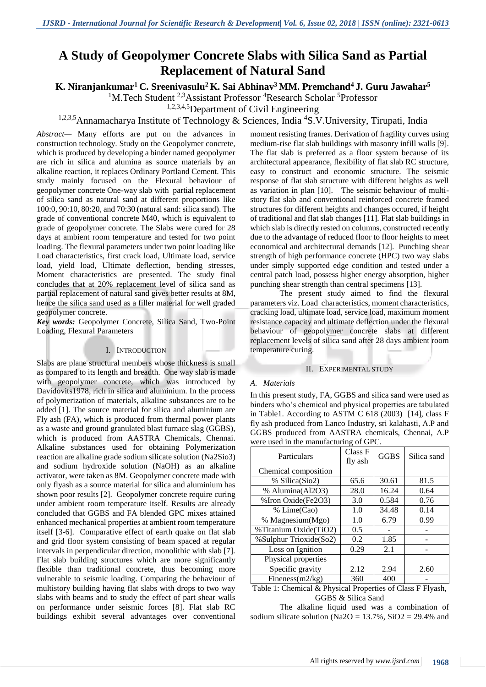# **A Study of Geopolymer Concrete Slabs with Silica Sand as Partial Replacement of Natural Sand**

**K. Niranjankumar<sup>1</sup> C. Sreenivasulu<sup>2</sup> K. Sai Abhinav<sup>3</sup> MM. Premchand<sup>4</sup>J. Guru Jawahar<sup>5</sup>**

<sup>1</sup>M.Tech Student <sup>2,3</sup>Assistant Professor <sup>4</sup>Research Scholar <sup>5</sup>Professor

1,2,3,4,5Department of Civil Engineering

<sup>1,2,3,5</sup>Annamacharya Institute of Technology & Sciences, India <sup>4</sup>S.V.University, Tirupati, India

*Abstract—* Many efforts are put on the advances in construction technology. Study on the Geopolymer concrete, which is produced by developing a binder named geopolymer are rich in silica and alumina as source materials by an alkaline reaction, it replaces Ordinary Portland Cement. This study mainly focused on the Flexural behaviour of geopolymer concrete One-way slab with partial replacement of silica sand as natural sand at different proportions like 100:0, 90:10, 80:20, and 70:30 (natural sand: silica sand). The grade of conventional concrete M40, which is equivalent to grade of geopolymer concrete. The Slabs were cured for 28 days at ambient room temperature and tested for two point loading. The flexural parameters under two point loading like Load characteristics, first crack load, Ultimate load, service load, yield load, Ultimate deflection, bending stresses, Moment characteristics are presented. The study final concludes that at 20% replacement level of silica sand as partial replacement of natural sand gives better results at 8M, hence the silica sand used as a filler material for well graded geopolymer concrete.

*Key words:* Geopolymer Concrete, Silica Sand, Two-Point Loading, Flexural Parameters

## I. INTRODUCTION

Slabs are plane structural members whose thickness is small as compared to its length and breadth. One way slab is made with geopolymer concrete, which was introduced by Davidovits1978, rich in silica and aluminium. In the process of polymerization of materials, alkaline substances are to be added [1]. The source material for silica and aluminium are Fly ash (FA), which is produced from thermal power plants as a waste and ground granulated blast furnace slag (GGBS), which is produced from AASTRA Chemicals, Chennai. Alkaline substances used for obtaining Polymerization reaction are alkaline grade sodium silicate solution (Na2Sio3) and sodium hydroxide solution (NaOH) as an alkaline activator, were taken as 8M. Geopolymer concrete made with only flyash as a source material for silica and aluminium has shown poor results [2]. Geopolymer concrete require curing under ambient room temperature itself. Results are already concluded that GGBS and FA blended GPC mixes attained enhanced mechanical properties at ambient room temperature itself [3-6]. Comparative effect of earth quake on flat slab and grid floor system consisting of beam spaced at regular intervals in perpendicular direction, monolithic with slab [7]. Flat slab building structures which are more significantly flexible than traditional concrete, thus becoming more vulnerable to seismic loading. Comparing the behaviour of multistory building having flat slabs with drops to two way slabs with beams and to study the effect of part shear walls on performance under seismic forces [8]. Flat slab RC buildings exhibit several advantages over conventional

moment resisting frames. Derivation of fragility curves using medium-rise flat slab buildings with masonry infill walls [9]. The flat slab is preferred as a floor system because of its architectural appearance, flexibility of flat slab RC structure, easy to construct and economic structure. The seismic response of flat slab structure with different heights as well as variation in plan [10]. The seismic behaviour of multistory flat slab and conventional reinforced concrete framed structures for different heights and changes occured, if height of traditional and flat slab changes [11]. Flat slab buildings in which slab is directly rested on columns, constructed recently due to the advantage of reduced floor to floor heights to meet economical and architectural demands [12]. Punching shear strength of high performance concrete (HPC) two way slabs under simply supported edge condition and tested under a central patch load, possess higher energy absorption, higher punching shear strength than central specimens [13].

The present study aimed to find the flexural parameters viz. Load characteristics, moment characteristics, cracking load, ultimate load, service load, maximum moment resistance capacity and ultimate deflection under the flexural behaviour of geopolymer concrete slabs at different replacement levels of silica sand after 28 days ambient room temperature curing.

## II. EXPERIMENTAL STUDY

#### *A. Materials*

In this present study, FA, GGBS and silica sand were used as binders who's chemical and physical properties are tabulated in Table1. According to ASTM C 618 (2003) [14], class F fly ash produced from Lanco Industry, sri kalahasti, A.P and GGBS produced from AASTRA chemicals, Chennai, A.P were used in the manufacturing of GPC.

| Particulars                                                                | Class F<br>fly ash | <b>GGBS</b>     | Silica sand |
|----------------------------------------------------------------------------|--------------------|-----------------|-------------|
| Chemical composition                                                       |                    |                 |             |
| % Silica(Sio2)                                                             | 65.6               | 30.61           | 81.5        |
| % Alumina(Al2O3)                                                           | 28.0               | 16.24           | 0.64        |
| % Iron Oxide(Fe2O3)                                                        | 3.0                | 0.584           | 0.76        |
| % Lime(Cao)                                                                | 1.0                | 34.48           | 0.14        |
| % Magnesium(Mgo)                                                           | 1.0                | 6.79            | 0.99        |
| %Titanium Oxide(TiO2)                                                      | 0.5                |                 |             |
| %Sulphur Trioxide(So2)                                                     | 0.2                | 1.85            |             |
| Loss on Ignition                                                           | 0.29               | 2.1             |             |
| Physical properties                                                        |                    |                 |             |
| Specific gravity                                                           | 2.12               | 2.94            | 2.60        |
| Fineness $(m2/kg)$                                                         | 360                | 400             |             |
| $T = 1147T$<br>$\overline{1}$ $\overline{0}$ $\overline{0}$ $\overline{1}$ | $\mathbf{r}$       | $\sim$ $\sim$ 1 | <b>.</b>    |

Table 1: Chemical & Physical Properties of Class F Flyash, GGBS & Silica Sand

The alkaline liquid used was a combination of sodium silicate solution (Na2O =  $13.7\%$ , SiO2 =  $29.4\%$  and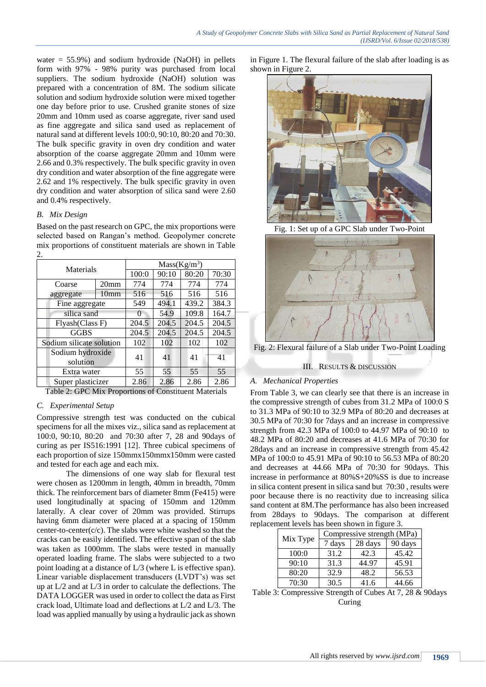water =  $55.9\%$ ) and sodium hydroxide (NaOH) in pellets form with 97% - 98% purity was purchased from local suppliers. The sodium hydroxide (NaOH) solution was prepared with a concentration of 8M. The sodium silicate solution and sodium hydroxide solution were mixed together one day before prior to use. Crushed granite stones of size 20mm and 10mm used as coarse aggregate, river sand used as fine aggregate and silica sand used as replacement of natural sand at different levels 100:0, 90:10, 80:20 and 70:30. The bulk specific gravity in oven dry condition and water absorption of the coarse aggregate 20mm and 10mm were 2.66 and 0.3% respectively. The bulk specific gravity in oven dry condition and water absorption of the fine aggregate were 2.62 and 1% respectively. The bulk specific gravity in oven dry condition and water absorption of silica sand were 2.60 and 0.4% respectively.

## *B. Mix Design*

Based on the past research on GPC, the mix proportions were selected based on Rangan's method. Geopolymer concrete mix proportions of constituent materials are shown in Table  $\mathcal{L}$ 

| Materials                    |                  | Mass(Kg/m <sup>3</sup> ) |       |       |       |
|------------------------------|------------------|--------------------------|-------|-------|-------|
|                              |                  | 100:0                    | 90:10 | 80:20 | 70:30 |
| Coarse                       | 20 <sub>mm</sub> | 774                      | 774   | 774   | 774   |
| aggregate                    | 10mm             | 516                      | 516   | 516   | 516   |
| Fine aggregate               |                  | 549                      | 494.1 | 439.2 | 384.3 |
| silica sand                  |                  | $\theta$                 | 54.9  | 109.8 | 164.7 |
| Flyash(Class F)              |                  | 204.5                    | 204.5 | 204.5 | 204.5 |
| <b>GGBS</b>                  |                  | 204.5                    | 204.5 | 204.5 | 204.5 |
| Sodium silicate solution     |                  | 102                      | 102   | 102   | 102   |
| Sodium hydroxide<br>solution |                  | 41                       | 41    | 41    | 41    |
|                              | Extra water      |                          | 55    | 55    | 55    |
| Super plasticizer            |                  | 2.86                     | 2.86  | 2.86  | 2.86  |

Table 2: GPC Mix Proportions of Constituent Materials

# *C. Experimental Setup*

Compressive strength test was conducted on the cubical specimens for all the mixes viz., silica sand as replacement at 100:0, 90:10, 80:20 and 70:30 after 7, 28 and 90days of curing as per IS516:1991 [12]. Three cubical specimens of each proportion of size 150mmx150mmx150mm were casted and tested for each age and each mix.

The dimensions of one way slab for flexural test were chosen as 1200mm in length, 40mm in breadth, 70mm thick. The reinforcement bars of diameter 8mm (Fe415) were used longitudinally at spacing of 150mm and 120mm laterally. A clear cover of 20mm was provided. Stirrups having 6mm diameter were placed at a spacing of 150mm center-to-center( $c/c$ ). The slabs were white washed so that the cracks can be easily identified. The effective span of the slab was taken as 1000mm. The slabs were tested in manually operated loading frame. The slabs were subjected to a two point loading at a distance of L/3 (where L is effective span). Linear variable displacement transducers (LVDT's) was set up at L/2 and at L/3 in order to calculate the deflections. The DATA LOGGER was used in order to collect the data as First crack load, Ultimate load and deflections at L/2 and L/3. The load was applied manually by using a hydraulic jack as shown in Figure 1. The flexural failure of the slab after loading is as shown in Figure 2.



Fig. 1: Set up of a GPC Slab under Two-Point



Fig. 2: Flexural failure of a Slab under Two-Point Loading

## III. RESULTS & DISCUSSION

# *A. Mechanical Properties*

From Table 3, we can clearly see that there is an increase in the compressive strength of cubes from 31.2 MPa of 100:0 S to 31.3 MPa of 90:10 to 32.9 MPa of 80:20 and decreases at 30.5 MPa of 70:30 for 7days and an increase in compressive strength from 42.3 MPa of 100:0 to 44.97 MPa of 90:10 to 48.2 MPa of 80:20 and decreases at 41.6 MPa of 70:30 for 28days and an increase in compressive strength from 45.42 MPa of 100:0 to 45.91 MPa of 90:10 to 56.53 MPa of 80:20 and decreases at 44.66 MPa of 70:30 for 90days. This increase in performance at 80%S+20%SS is due to increase in silica content present in silica sand but 70:30 , results were poor because there is no reactivity due to increasing silica sand content at 8M.The performance has also been increased from 28days to 90days. The comparison at different replacement levels has been shown in figure 3.

|          | Compressive strength (MPa) |         |         |  |
|----------|----------------------------|---------|---------|--|
| Mix Type | 7 days                     | 28 days | 90 days |  |
| 100:0    | 31.2                       | 42.3    | 45.42   |  |
| 90:10    | 31.3                       | 44.97   | 45.91   |  |
| 80:20    | 32.9                       | 48.2    | 56.53   |  |
| 70:30    | 30.5                       | 41.6    | 44.66   |  |

Table 3: Compressive Strength of Cubes At 7, 28 & 90days Curing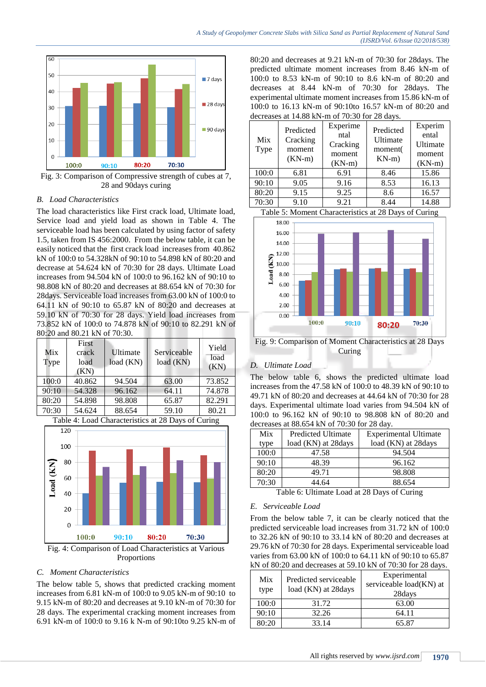

Fig. 3: Comparison of Compressive strength of cubes at 7, 28 and 90days curing

## *B. Load Characteristics*

The load characteristics like First crack load, Ultimate load, Service load and yield load as shown in Table 4. The serviceable load has been calculated by using factor of safety 1.5, taken from IS 456:2000. From the below table, it can be easily noticed that the first crack load increases from 40.862 kN of 100:0 to 54.328kN of 90:10 to 54.898 kN of 80:20 and decrease at 54.624 kN of 70:30 for 28 days. Ultimate Load increases from 94.504 kN of 100:0 to 96.162 kN of 90:10 to 98.808 kN of 80:20 and decreases at 88.654 kN of 70:30 for 28days. Serviceable load increases from 63.00 kN of 100:0 to 64.11 kN of 90:10 to 65.87 kN of 80:20 and decreases at 59.10 kN of 70:30 for 28 days. Yield load increases from 73.852 kN of 100:0 to 74.878 kN of 90:10 to 82.291 kN of 80:20 and 80.21 kN of 70:30.

| Mix<br>Type | First<br>crack<br>load<br>(KN) | Ultimate<br>load (KN) | Serviceable<br>load (KN) | Yield<br>load<br>(KN) |
|-------------|--------------------------------|-----------------------|--------------------------|-----------------------|
| 100:0       | 40.862                         | 94.504                | 63.00                    | 73.852                |
| 90:10       | 54.328                         | 96.162                | 64.11                    | 74.878                |
| 80:20       | 54.898                         | 98.808                | 65.87                    | 82.291                |
| 70:30       | 54.624                         | 88.654                | 59.10                    | 80.21                 |

Table 4: Load Characteristics at 28 Days of Curing



Proportions

#### *C. Moment Characteristics*

The below table 5, shows that predicted cracking moment increases from 6.81 kN-m of 100:0 to 9.05 kN-m of 90:10 to 9.15 kN-m of 80:20 and decreases at 9.10 kN-m of 70:30 for 28 days. The experimental cracking moment increases from 6.91 kN-m of 100:0 to 9.16 k N-m of 90:10to 9.25 kN-m of

80:20 and decreases at 9.21 kN-m of 70:30 for 28days. The predicted ultimate moment increases from 8.46 kN-m of 100:0 to 8.53 kN-m of 90:10 to 8.6 kN-m of 80:20 and decreases at 8.44 kN-m of 70:30 for 28days. The experimental ultimate moment increases from 15.86 kN-m of 100:0 to 16.13 kN-m of 90:10to 16.57 kN-m of 80:20 and decreases at 14.88 kN-m of 70:30 for 28 days.

| Mix<br>Type                                                                                  | Predicted<br>Cracking<br>moment<br>$(KN-m)$ | Experime<br>ntal<br>Cracking<br>moment<br>$(KN-m)$ | Predicted<br>Ultimate<br>moment(<br>$KN-m)$ | Experim<br>ental<br>Ultimate<br>moment<br>$(KN-m)$ |
|----------------------------------------------------------------------------------------------|---------------------------------------------|----------------------------------------------------|---------------------------------------------|----------------------------------------------------|
| 100:0                                                                                        | 6.81                                        | 6.91                                               | 8.46                                        | 15.86                                              |
| 90:10                                                                                        | 9.05                                        | 9.16                                               | 8.53                                        | 16.13                                              |
| 80:20                                                                                        | 9.15                                        | 9.25                                               | 8.6                                         | 16.57                                              |
| 70:30                                                                                        | 9.10                                        | 9.21                                               | 8.44                                        | 14.88                                              |
| $T_{\rm c}$ 11 $\tau$ M, $\tau$ (1, $\tau$ ) $\tau$ is $\tau$ 00 $\Gamma$ , $\tau$ 60 $\tau$ |                                             |                                                    |                                             |                                                    |



Fig. 9: Comparison of Moment Characteristics at 28 Days Curing

#### *D. Ultimate Load*

The below table 6, shows the predicted ultimate load increases from the 47.58 kN of 100:0 to 48.39 kN of 90:10 to 49.71 kN of 80:20 and decreases at 44.64 kN of 70:30 for 28 days. Experimental ultimate load varies from 94.504 kN of 100:0 to 96.162 kN of 90:10 to 98.808 kN of 80:20 and decreases at 88.654 kN of 70:30 for 28 day.

|       | $\alpha$ . The state of $\alpha$ is $\alpha$ in the state of $\alpha$ is the state of $\alpha$ |                              |  |  |  |
|-------|------------------------------------------------------------------------------------------------|------------------------------|--|--|--|
| Mix   | <b>Predicted Ultimate</b>                                                                      | <b>Experimental Ultimate</b> |  |  |  |
| type  | load (KN) at 28 days                                                                           | load (KN) at 28 days         |  |  |  |
| 100:0 | 47.58                                                                                          | 94.504                       |  |  |  |
| 90:10 | 48.39                                                                                          | 96.162                       |  |  |  |
| 80:20 | 49.71                                                                                          | 98.808                       |  |  |  |
| 70:30 | 44.64                                                                                          | 88.654                       |  |  |  |

Table 6: Ultimate Load at 28 Days of Curing

#### *E. Serviceable Load*

From the below table 7, it can be clearly noticed that the predicted serviceable load increases from 31.72 kN of 100:0 to 32.26 kN of 90:10 to 33.14 kN of 80:20 and decreases at 29.76 kN of 70:30 for 28 days. Experimental serviceable load varies from 63.00 kN of 100:0 to 64.11 kN of 90:10 to 65.87 kN of 80:20 and decreases at 59.10 kN of 70:30 for 28 days.

| Mix<br>type | Predicted serviceable<br>load (KN) at 28days | Experimental<br>serviceable load(KN) at<br>28days |
|-------------|----------------------------------------------|---------------------------------------------------|
| 100:0       | 31.72                                        | 63.00                                             |
| 90:10       | 32.26                                        | 64.11                                             |
| 80:20       | 33.14                                        | 65.87                                             |